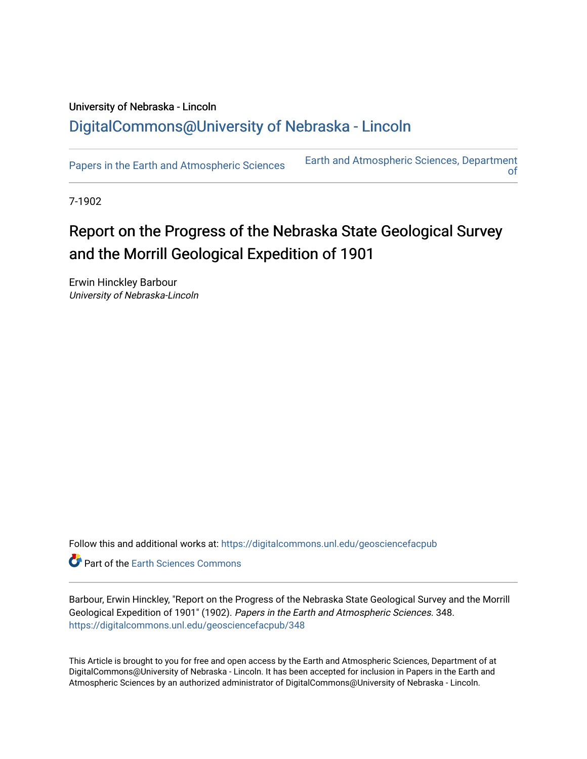## University of Nebraska - Lincoln [DigitalCommons@University of Nebraska - Lincoln](https://digitalcommons.unl.edu/)

[Papers in the Earth and Atmospheric Sciences](https://digitalcommons.unl.edu/geosciencefacpub) Earth and Atmospheric Sciences, Department [of](https://digitalcommons.unl.edu/geosciences) 

7-1902

## Report on the Progress of the Nebraska State Geological Survey and the Morrill Geological Expedition of 1901

Erwin Hinckley Barbour University of Nebraska-Lincoln

Follow this and additional works at: [https://digitalcommons.unl.edu/geosciencefacpub](https://digitalcommons.unl.edu/geosciencefacpub?utm_source=digitalcommons.unl.edu%2Fgeosciencefacpub%2F348&utm_medium=PDF&utm_campaign=PDFCoverPages)

Part of the [Earth Sciences Commons](http://network.bepress.com/hgg/discipline/153?utm_source=digitalcommons.unl.edu%2Fgeosciencefacpub%2F348&utm_medium=PDF&utm_campaign=PDFCoverPages) 

Barbour, Erwin Hinckley, "Report on the Progress of the Nebraska State Geological Survey and the Morrill Geological Expedition of 1901" (1902). Papers in the Earth and Atmospheric Sciences. 348. [https://digitalcommons.unl.edu/geosciencefacpub/348](https://digitalcommons.unl.edu/geosciencefacpub/348?utm_source=digitalcommons.unl.edu%2Fgeosciencefacpub%2F348&utm_medium=PDF&utm_campaign=PDFCoverPages)

This Article is brought to you for free and open access by the Earth and Atmospheric Sciences, Department of at DigitalCommons@University of Nebraska - Lincoln. It has been accepted for inclusion in Papers in the Earth and Atmospheric Sciences by an authorized administrator of DigitalCommons@University of Nebraska - Lincoln.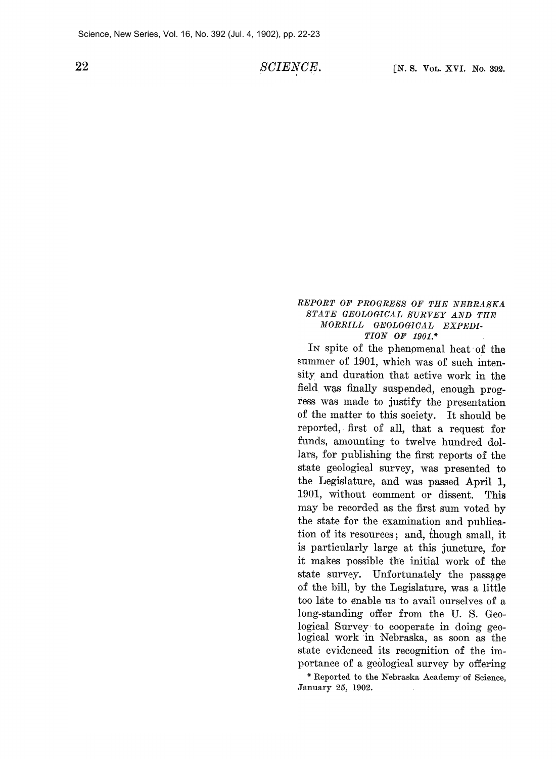22 SCIENCE.

## **REPORT OF PROGRESS OF THE NEBRASKA STATE GEOLOGICAL SURVEY AND THE MORRILL GEOLOGICAL EXPEDI-TION OF 1901.\***

**IN spite of the phenomenal heat of the summer of 1901, which was of such intensity and duration that active work in the field was finally suspended, enough progress was made to justify the presentation of the matter to this society. It should be reported, first of all, that a request for funds, amounting to twelve hundred dollars, for publishing the first reports of the state geological survey, was presented to the Legislature, and was passed April 1, 1901, without comment or dissent. This may be recorded as the first sum voted by the state for the examination and publication of its resources; and, {hough small, it is particularly large at this juncture, for it makes possible the initial work of the**  state survey. Unfortunately the passage **of the bill, by the Legislature, was a little too late to enable us to avail ourselves of a long-standing offer from the U. S. Geological Survey to cooperate in doing geological work in Nebraska, as soon as the state evidenced its recognition of the importance of a geological survey by offering** 

**\* Reported to the Nebraska Academy of Science, January 25, 1902.**